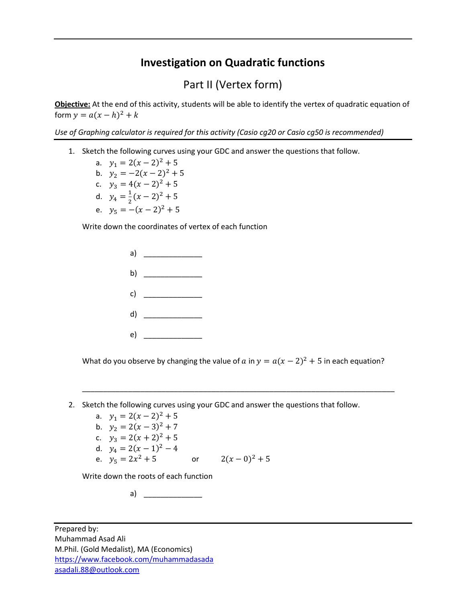## **Investigation on Quadratic functions**

## Part II (Vertex form)

**Objective:** At the end of this activity, students will be able to identify the vertex of quadratic equation of form  $y = a(x - h)^2 + k$ 

*Use of Graphing calculator is required for this activity (Casio cg20 or Casio cg50 is recommended)*

- 1. Sketch the following curves using your GDC and answer the questions that follow.
	- a.  $y_1 = 2(x 2)^2 + 5$ b.  $y_2 = -2(x-2)^2 + 5$
	- c.  $y_3 = 4(x 2)^2 + 5$
	- d.  $y_4 = \frac{1}{2}$
	- $\frac{1}{2}(x-2)^2+5$
	- e.  $y_5 = -(x 2)^2 + 5$

Write down the coordinates of vertex of each function



What do you observe by changing the value of  $a$  in  $y = a(x - 2)^2 + 5$  in each equation?

\_\_\_\_\_\_\_\_\_\_\_\_\_\_\_\_\_\_\_\_\_\_\_\_\_\_\_\_\_\_\_\_\_\_\_\_\_\_\_\_\_\_\_\_\_\_\_\_\_\_\_\_\_\_\_\_\_\_\_\_\_\_\_\_\_\_\_\_\_\_\_\_\_\_\_

2. Sketch the following curves using your GDC and answer the questions that follow.

a.  $y_1 = 2(x - 2)^2 + 5$ b.  $y_2 = 2(x-3)^2 + 7$ c.  $y_3 = 2(x + 2)^2 + 5$ d.  $y_4 = 2(x - 1)^2 - 4$ e.  $y_5 = 2x^2 + 5$  $2^2 + 5$  or  $2(x - 0)^2 + 5$ 

Write down the roots of each function

a)  $\qquad \qquad$ 

Prepared by: Muhammad Asad Ali M.Phil. (Gold Medalist), MA (Economics) <https://www.facebook.com/muhammadasada> [asadali.88@outlook.com](mailto:asadali.88@outlook.com)